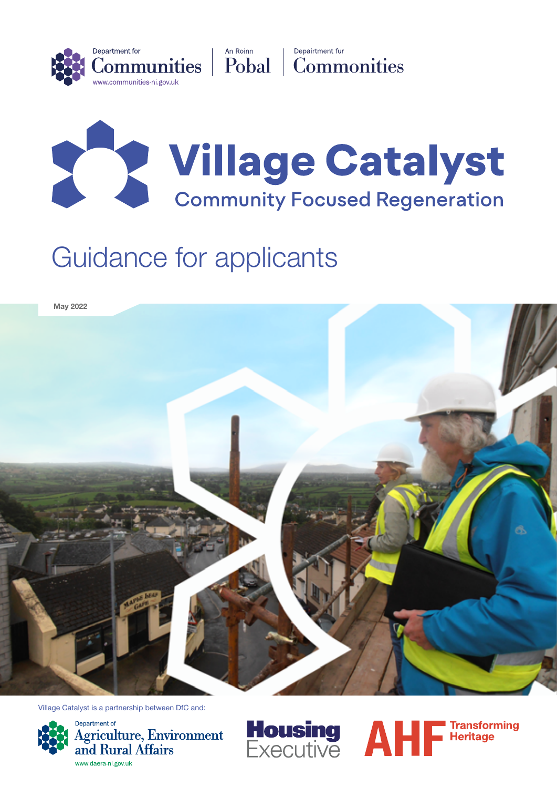



# Guidance for applicants



Village Catalyst is a partnership between DfC and:



Department of Agriculture, Environment and Rural Affairs www.daera-ni.gov.uk



**Housing AHF** Transforming<br>Executive **AHF** Heritage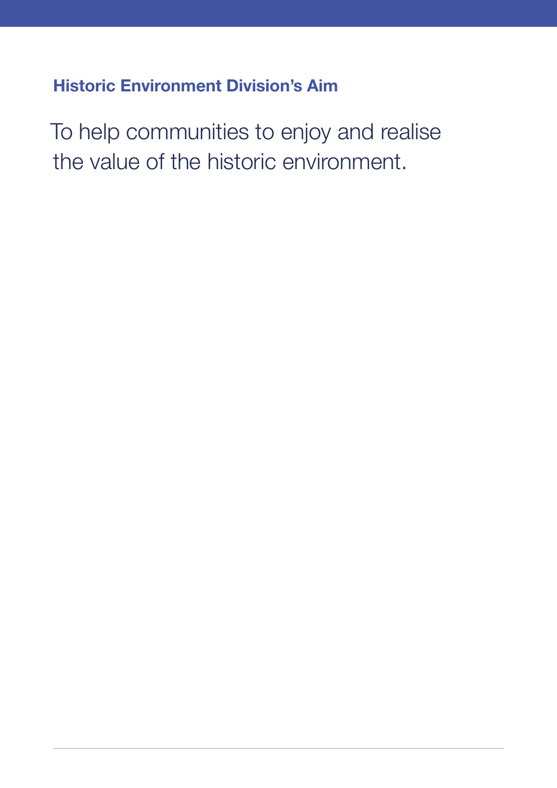# Historic Environment Division's Aim

To help communities to enjoy and realise the value of the historic environment.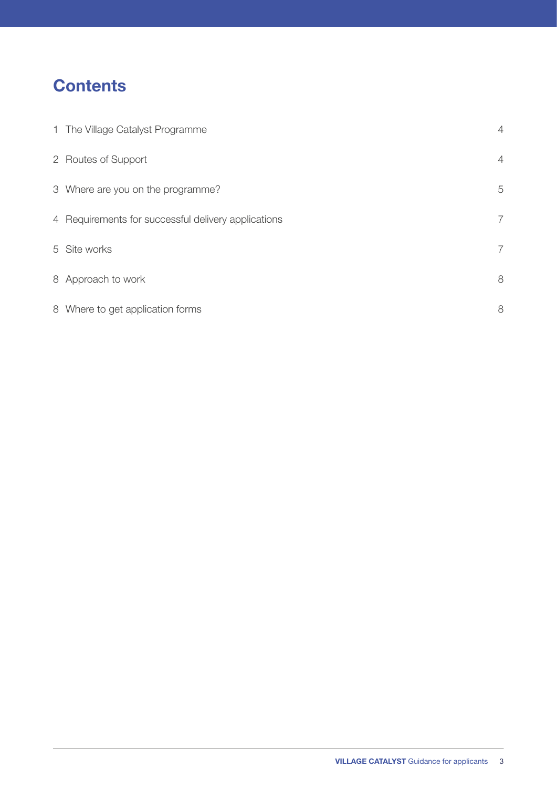# **Contents**

| 1 The Village Catalyst Programme                    | $\overline{4}$ |
|-----------------------------------------------------|----------------|
| 2 Routes of Support                                 | $\overline{4}$ |
| 3 Where are you on the programme?                   | 5              |
| 4 Requirements for successful delivery applications | $\overline{7}$ |
| 5 Site works                                        | $\overline{7}$ |
| 8 Approach to work                                  | 8              |
| 8 Where to get application forms                    | 8              |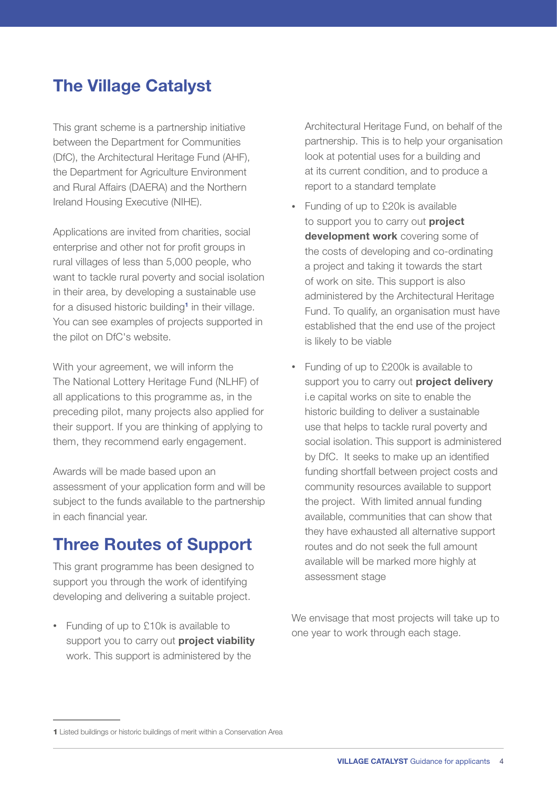## <span id="page-3-0"></span>The Village Catalyst

This grant scheme is a partnership initiative between the Department for Communities (DfC), the Architectural Heritage Fund (AHF), the Department for Agriculture Environment and Rural Affairs (DAERA) and the Northern Ireland Housing Executive (NIHE).

Applications are invited from charities, social enterprise and other not for profit groups in rural villages of less than 5,000 people, who want to tackle rural poverty and social isolation in their area, by developing a sustainable use for a disused historic building<sup>1</sup> in their village. You can see examples of projects supported in the pilot on DfC's website.

With your agreement, we will inform the The National Lottery Heritage Fund (NLHF) of all applications to this programme as, in the preceding pilot, many projects also applied for their support. If you are thinking of applying to them, they recommend early engagement.

Awards will be made based upon an assessment of your application form and will be subject to the funds available to the partnership in each financial year.

## Three Routes of Support

This grant programme has been designed to support you through the work of identifying developing and delivering a suitable project.

• Funding of up to £10k is available to support you to carry out **project viability** work. This support is administered by the

 Architectural Heritage Fund, on behalf of the partnership. This is to help your organisation look at potential uses for a building and at its current condition, and to produce a report to a standard template

- Funding of up to £20k is available to support you to carry out **project** development work covering some of the costs of developing and co-ordinating a project and taking it towards the start of work on site. This support is also administered by the Architectural Heritage Fund. To qualify, an organisation must have established that the end use of the project is likely to be viable
- Funding of up to £200k is available to support you to carry out project delivery i.e capital works on site to enable the historic building to deliver a sustainable use that helps to tackle rural poverty and social isolation. This support is administered by DfC. It seeks to make up an identified funding shortfall between project costs and community resources available to support the project. With limited annual funding available, communities that can show that they have exhausted all alternative support routes and do not seek the full amount available will be marked more highly at assessment stage

We envisage that most projects will take up to one year to work through each stage.

<sup>1</sup> Listed buildings or historic buildings of merit within a Conservation Area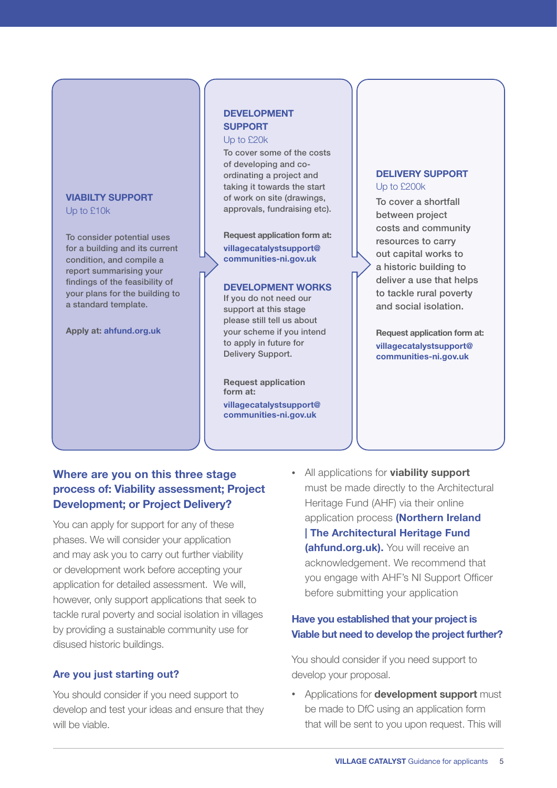## <span id="page-4-0"></span>VIABILTY SUPPORT

Up to £10k

To consider potential uses for a building and its current condition, and compile a report summarising your findings of the feasibility of your plans for the building to a standard template.

Apply at: ahfund.org.uk

#### DEVELOPMENT **SUPPORT**

Up to £20k

To cover some of the costs of developing and coordinating a project and taking it towards the start of work on site (drawings, approvals, fundraising etc).

Request application form at: v[illagecatalystsupport@](mailto:Villagecatalystsupport%40communities-ni.gov.uk?subject=) [communities-ni.gov.uk](mailto:Villagecatalystsupport%40communities-ni.gov.uk?subject=)

#### DEVELOPMENT WORKS

If you do not need our support at this stage please still tell us about your scheme if you intend to apply in future for Delivery Support.

Request application form at: v[illagecatalystsupport@](mailto:Villagecatalystsupport%40communities-ni.gov.uk?subject=) [communities-ni.gov.uk](mailto:Villagecatalystsupport%40communities-ni.gov.uk?subject=)

#### DELIVERY SUPPORT Up to £200k

To cover a shortfall between project costs and community resources to carry out capital works to a historic building to deliver a use that helps to tackle rural poverty and social isolation.

Request application form at: v[illagecatalystsupport@](mailto:Villagecatalystsupport%40communities-ni.gov.uk?subject=) [communities-ni.gov.uk](mailto:Villagecatalystsupport%40communities-ni.gov.uk?subject=)

## Where are you on this three stage process of: Viability assessment; Project Development; or Project Delivery?

You can apply for support for any of these phases. We will consider your application and may ask you to carry out further viability or development work before accepting your application for detailed assessment. We will, however, only support applications that seek to tackle rural poverty and social isolation in villages by providing a sustainable community use for disused historic buildings.

### Are you just starting out?

You should consider if you need support to develop and test your ideas and ensure that they will be viable.

• All applications for viability support must be made directly to the Architectural Heritage Fund (AHF) via their online application process [\(Northern Ireland](https://ahfund.org.uk/grants/northern-ireland/)  [| The Architectural Heritage Fund](https://ahfund.org.uk/grants/northern-ireland/)  **[\(ahfund.org.uk\)](https://ahfund.org.uk/grants/northern-ireland/).** You will receive an acknowledgement. We recommend that you engage with AHF's NI Support Officer before submitting your application

### Have you established that your project is Viable but need to develop the project further?

You should consider if you need support to develop your proposal.

• Applications for **development support** must be made to DfC using an application form that will be sent to you upon request. This will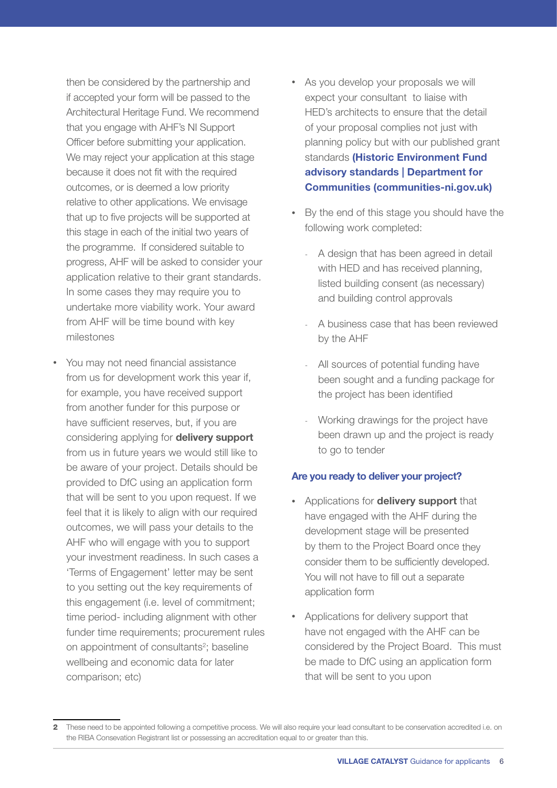then be considered by the partnership and if accepted your form will be passed to the Architectural Heritage Fund. We recommend that you engage with AHF's NI Support Officer before submitting your application. We may reject your application at this stage because it does not fit with the required outcomes, or is deemed a low priority relative to other applications. We envisage that up to five projects will be supported at this stage in each of the initial two years of the programme. If considered suitable to progress, AHF will be asked to consider your application relative to their grant standards. In some cases they may require you to undertake more viability work. Your award from AHF will be time bound with key milestones

• You may not need financial assistance from us for development work this year if, for example, you have received support from another funder for this purpose or have sufficient reserves, but, if you are considering applying for delivery support from us in future years we would still like to be aware of your project. Details should be provided to DfC using an application form that will be sent to you upon request. If we feel that it is likely to align with our required outcomes, we will pass your details to the AHF who will engage with you to support your investment readiness. In such cases a 'Terms of Engagement' letter may be sent to you setting out the key requirements of this engagement (i.e. level of commitment; time period- including alignment with other funder time requirements; procurement rules on appointment of consultants<sup>2</sup>; baseline wellbeing and economic data for later comparison; etc)

- As you develop your proposals we will expect your consultant to liaise with HED's architects to ensure that the detail of your proposal complies not just with planning policy but with our published grant standards (Historic Environment Fund [advisory standards | Department for](https://www.communities-ni.gov.uk/publications/historic-environment-fund-advisory-standards)  [Communities \(communities-ni.gov.uk\)](https://www.communities-ni.gov.uk/publications/historic-environment-fund-advisory-standards)
- By the end of this stage you should have the following work completed:
	- A design that has been agreed in detail with HED and has received planning, listed building consent (as necessary) and building control approvals
	- A business case that has been reviewed by the AHF
	- All sources of potential funding have been sought and a funding package for the project has been identified
	- Working drawings for the project have been drawn up and the project is ready to go to tender

#### Are you ready to deliver your project?

- Applications for **delivery support** that have engaged with the AHF during the development stage will be presented by them to the Project Board once they consider them to be sufficiently developed. You will not have to fill out a separate application form
- Applications for delivery support that have not engaged with the AHF can be considered by the Project Board. This must be made to DfC using an application form that will be sent to you upon

<sup>2</sup> These need to be appointed following a competitive process. We will also require your lead consultant to be conservation accredited i.e. on the RIBA Consevation Registrant list or possessing an accreditation equal to or greater than this.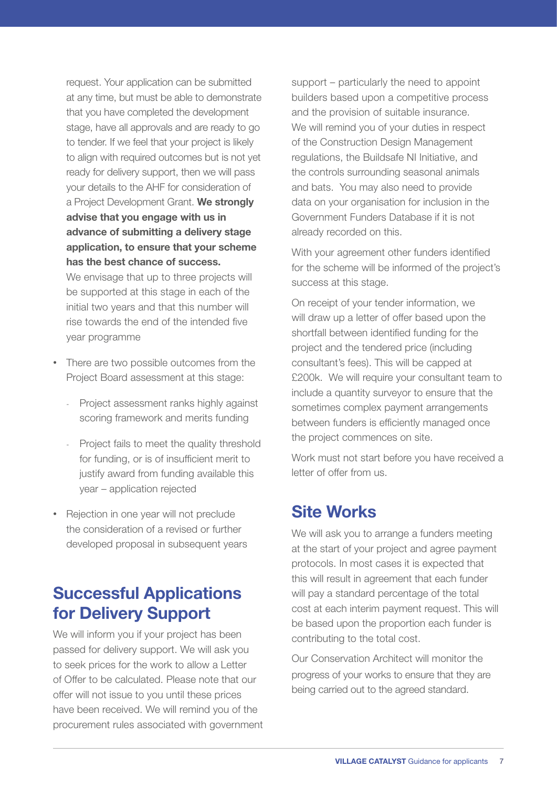<span id="page-6-0"></span> request. Your application can be submitted support – particularly the need to appoint at any time, but must be able to demonstrate that you have completed the development stage, have all approvals and are ready to go to tender. If we feel that your project is likely to align with required outcomes but is not yet ready for delivery support, then we will pass your details to the AHF for consideration of a Project Development Grant. We strongly advise that you engage with us in advance of submitting a delivery stage application, to ensure that your scheme has the best chance of success. We envisage that up to three projects will

be supported at this stage in each of the initial two vears and that this number will rise towards the end of the intended five year programme

- There are two possible outcomes from the Project Board assessment at this stage:
	- Project assessment ranks highly against scoring framework and merits funding
	- Project fails to meet the quality threshold for funding, or is of insufficient merit to justify award from funding available this year - application rejected
- Rejection in one year will not preclude the consideration of a revised or further developed proposal in subsequent years

## **Successful Applications** for Delivery Support

We will inform you if your project has been passed for delivery support. We will ask you to seek prices for the work to allow a Letter of Offer to be calculated. Please note that our offer will not issue to you until these prices have been received. We will remind you of the procurement rules associated with government builders based upon a competitive process and the provision of suitable insurance. We will remind you of your duties in respect of the Construction Design Management regulations, the Buildsafe NI Initiative, and the controls surrounding seasonal animals and bats. You may also need to provide data on your organisation for inclusion in the Government Funders Database if it is not already recorded on this.

With your agreement other funders identified for the scheme will be informed of the project's success at this stage.

On receipt of your tender information, we will draw up a letter of offer based upon the shortfall between identified funding for the project and the tendered price (including consultant's fees). This will be capped at £200k. We will require your consultant team to include a quantity surveyor to ensure that the sometimes complex payment arrangements between funders is efficiently managed once the project commences on site.

Work must not start before you have received a letter of offer from us.

## Site Works

We will ask you to arrange a funders meeting at the start of your project and agree payment protocols. In most cases it is expected that this will result in agreement that each funder will pay a standard percentage of the total cost at each interim payment request. This will be based upon the proportion each funder is contributing to the total cost.

Our Conservation Architect will monitor the progress of your works to ensure that they are being carried out to the agreed standard.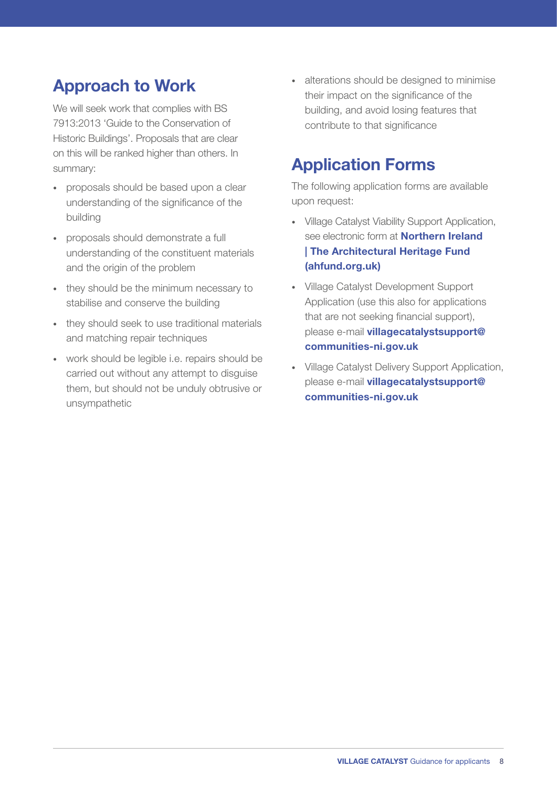## Approach to Work

We will seek work that complies with BS 7913:2013 'Guide to the Conservation of Historic Buildings'. Proposals that are clear on this will be ranked higher than others. In summary:

- proposals should be based upon a clear understanding of the significance of the building
- proposals should demonstrate a full understanding of the constituent materials and the origin of the problem
- they should be the minimum necessary to stabilise and conserve the building
- they should seek to use traditional materials and matching repair techniques
- work should be legible i.e. repairs should be carried out without any attempt to disguise them, but should not be unduly obtrusive or unsympathetic

• alterations should be designed to minimise their impact on the significance of the building, and avoid losing features that contribute to that significance

## Application Forms

The following application forms are available upon request:

- Village Catalyst Viability Support Application, see electronic form at **Northern Ireland** [| The Architectural Heritage Fund](https://ahfund.org.uk/grants/northern-ireland/)  [\(ahfund.org.uk\)](https://ahfund.org.uk/grants/northern-ireland/)
- Village Catalyst Development Support Application (use this also for applications that are not seeking financial support), please e-mail [villagecatalystsupport@](mailto:villagecatalystsupport%40communities-ni.gov.uk?subject=) [communities-ni.gov.uk](mailto:villagecatalystsupport%40communities-ni.gov.uk?subject=)
- Village Catalyst Delivery Support Application, please e-mail [villagecatalystsupport@](mailto:villagecatalystsupport%40communities-ni.gov.uk?subject=) [communities-ni.gov.uk](mailto:villagecatalystsupport%40communities-ni.gov.uk?subject=)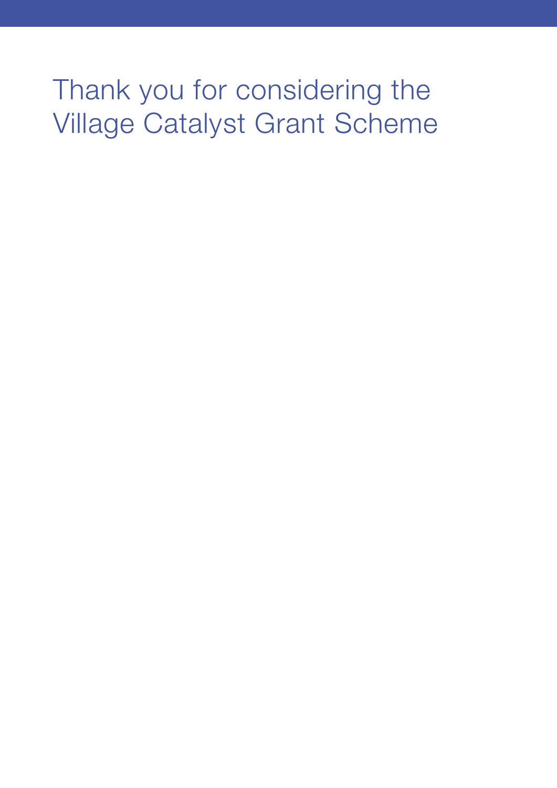# Thank you for considering the Village Catalyst Grant Scheme

- 
- 
- 
- -
	-
	-
	-